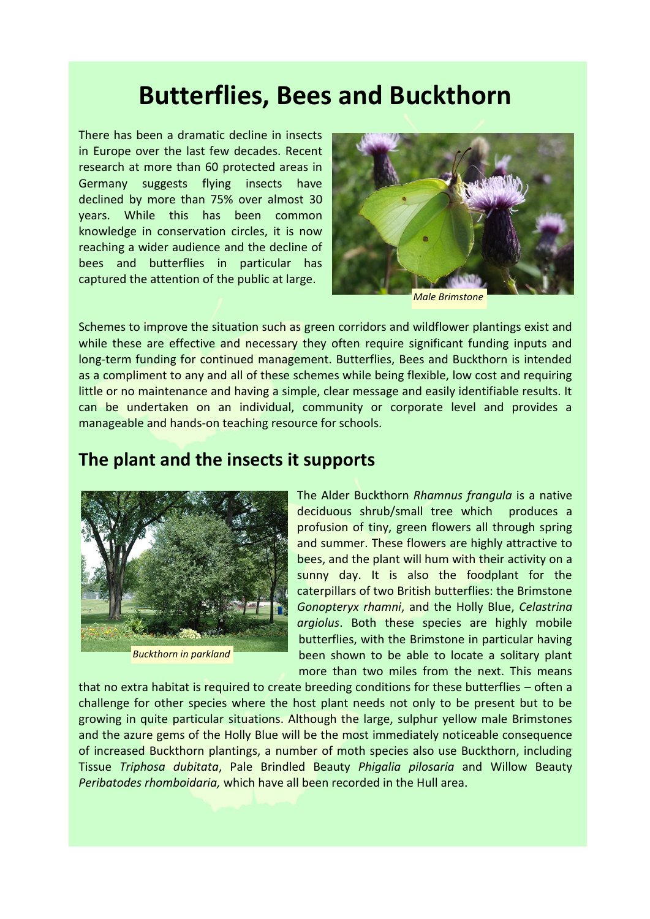# **Butterflies, Bees and Buckthorn**

There has been a dramatic decline in insects in Europe over the last few decades. Recent research at more than 60 protected areas in Germany suggests flying insects have declined by more than 75% over almost 30 years. While this has been common knowledge in conservation circles, it is now reaching a wider audience and the decline of bees and butterflies in particular has captured the attention of the public at large.



*Male Brimstone*

Schemes to improve the situation such as green corridors and wildflower plantings exist and while these are effective and necessary they often require significant funding inputs and long-term funding for continued management. Butterflies, Bees and Buckthorn is intended as a compliment to any and all of these schemes while being flexible, low cost and requiring little or no maintenance and having a simple, clear message and easily identifiable results. It can be undertaken on an individual, community or corporate level and provides a manageable and hands-on teaching resource for schools.

### **The plant and the insects it supports**



*Buckthorn in parkland*

The Alder Buckthorn *Rhamnus frangula* is a native deciduous shrub/small tree which produces a profusion of tiny, green flowers all through spring and summer. These flowers are highly attractive to bees, and the plant will hum with their activity on a sunny day. It is also the foodplant for the caterpillars of two British butterflies: the Brimstone *Gonopteryx rhamni*, and the Holly Blue, *Celastrina argiolus*. Both these species are highly mobile butterflies, with the Brimstone in particular having been shown to be able to locate a solitary plant more than two miles from the next. This means

that no extra habitat is required to create breeding conditions for these butterflies – often a challenge for other species where the host plant needs not only to be present but to be growing in quite particular situations. Although the large, sulphur yellow male Brimstones and the azure gems of the Holly Blue will be the most immediately noticeable consequence of increased Buckthorn plantings, a number of moth species also use Buckthorn, including Tissue *Triphosa dubitata*, Pale Brindled Beauty *Phigalia pilosaria* and Willow Beauty *Peribatodes rhomboidaria,* which have all been recorded in the Hull area.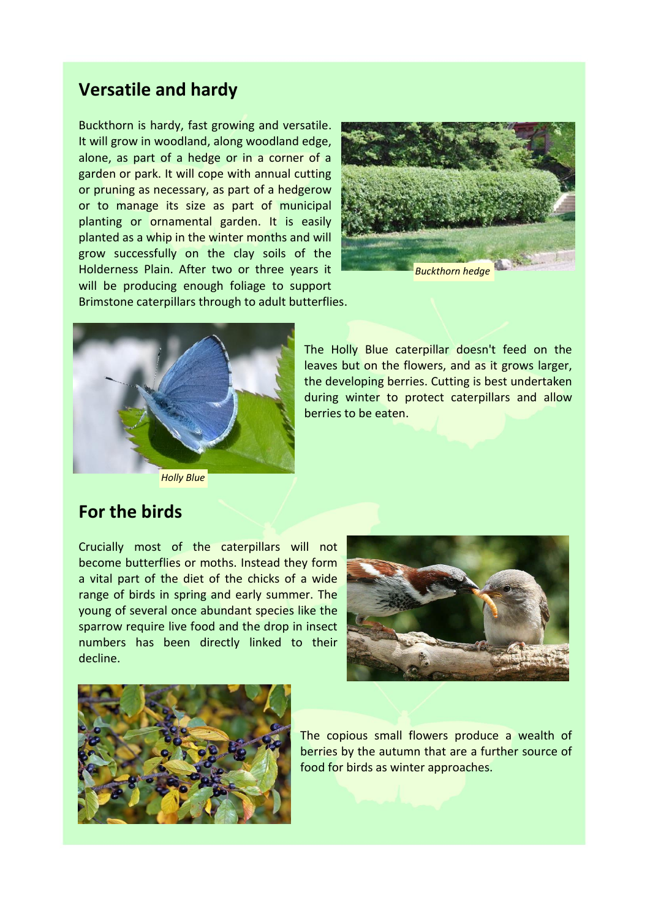# **Versatile and hardy**

Buckthorn is hardy, fast growing and versatile. It will grow in woodland, along woodland edge, alone, as part of a hedge or in a corner of a garden or park. It will cope with annual cutting or pruning as necessary, as part of a hedgerow or to manage its size as part of municipal planting or ornamental garden. It is easily planted as a whip in the winter months and will grow successfully on the clay soils of the Holderness Plain. After two or three years it will be producing enough foliage to support



Brimstone caterpillars through to adult butterflies.



The Holly Blue caterpillar doesn't feed on the leaves but on the flowers, and as it grows larger, the developing berries. Cutting is best undertaken during winter to protect caterpillars and allow berries to be eaten.

*Holly Blue*

# **For the birds**

Crucially most of the caterpillars will not become butterflies or moths. Instead they form a vital part of the diet of the chicks of a wide range of birds in spring and early summer. The young of several once abundant species like the sparrow require live food and the drop in insect numbers has been directly linked to their decline.





The copious small flowers produce a wealth of berries by the autumn that are a further source of food for birds as winter approaches.